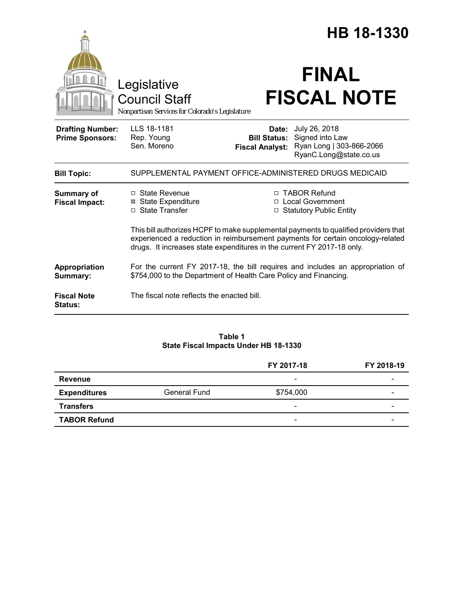|                                                   |                                                                                                                                                                                                                                                 |                                                        | HB 18-1330                                                                             |  |
|---------------------------------------------------|-------------------------------------------------------------------------------------------------------------------------------------------------------------------------------------------------------------------------------------------------|--------------------------------------------------------|----------------------------------------------------------------------------------------|--|
|                                                   | Legislative<br><b>Council Staff</b><br>Nonpartisan Services for Colorado's Legislature                                                                                                                                                          |                                                        | <b>FINAL</b><br><b>FISCAL NOTE</b>                                                     |  |
| <b>Drafting Number:</b><br><b>Prime Sponsors:</b> | LLS 18-1181<br>Rep. Young<br>Sen. Moreno                                                                                                                                                                                                        | Date:<br><b>Bill Status:</b><br><b>Fiscal Analyst:</b> | July 26, 2018<br>Signed into Law<br>Ryan Long   303-866-2066<br>RyanC.Long@state.co.us |  |
| <b>Bill Topic:</b>                                | SUPPLEMENTAL PAYMENT OFFICE-ADMINISTERED DRUGS MEDICAID                                                                                                                                                                                         |                                                        |                                                                                        |  |
| <b>Summary of</b><br><b>Fiscal Impact:</b>        | □ State Revenue<br><b>⊠ State Expenditure</b><br>□ State Transfer                                                                                                                                                                               |                                                        | □ TABOR Refund<br>□ Local Government<br>□ Statutory Public Entity                      |  |
|                                                   | This bill authorizes HCPF to make supplemental payments to qualified providers that<br>experienced a reduction in reimbursement payments for certain oncology-related<br>drugs. It increases state expenditures in the current FY 2017-18 only. |                                                        |                                                                                        |  |
| Appropriation<br>Summary:                         | For the current FY 2017-18, the bill requires and includes an appropriation of<br>\$754,000 to the Department of Health Care Policy and Financing.                                                                                              |                                                        |                                                                                        |  |
| <b>Fiscal Note</b><br><b>Status:</b>              | The fiscal note reflects the enacted bill.                                                                                                                                                                                                      |                                                        |                                                                                        |  |

# **Table 1 State Fiscal Impacts Under HB 18-1330**

|                     |                     | FY 2017-18               | FY 2018-19 |
|---------------------|---------------------|--------------------------|------------|
| Revenue             |                     | $\overline{\phantom{a}}$ |            |
| <b>Expenditures</b> | <b>General Fund</b> | \$754,000                |            |
| <b>Transfers</b>    |                     | -                        |            |
| <b>TABOR Refund</b> |                     | $\overline{\phantom{a}}$ | -          |